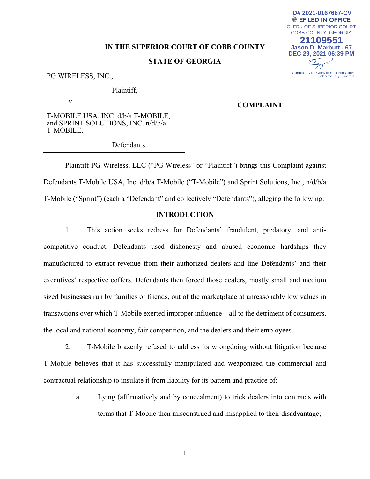# **IN THE SUPERIOR COURT OF COBB COUNTY**

# **STATE OF GEORGIA**

PG WIRELESS, INC.,

Plaintiff,

v.

**COMPLAINT** 

CLERK OF SUPERIOR COURT COBB COUNTY, GEORGIA **21109551 Jason D. Marbutt - 67 DEC 29, 2021 06:39 PM**

Connie Taylor, Clerk of Superior Court<br>Cobb County, Georgia

**ID# 2021-0167667-CV**▒ EFILED IN OFFICE

T-MOBILE USA, INC. d/b/a T-MOBILE, and SPRINT SOLUTIONS, INC. n/d/b/a T-MOBILE,

Defendants.

Plaintiff PG Wireless, LLC ("PG Wireless" or "Plaintiff") brings this Complaint against Defendants T-Mobile USA, Inc. d/b/a T-Mobile ("T-Mobile") and Sprint Solutions, Inc., n/d/b/a T-Mobile ("Sprint") (each a "Defendant" and collectively "Defendants"), alleging the following:

### **INTRODUCTION**

1. This action seeks redress for Defendants' fraudulent, predatory, and anticompetitive conduct. Defendants used dishonesty and abused economic hardships they manufactured to extract revenue from their authorized dealers and line Defendants' and their executives' respective coffers. Defendants then forced those dealers, mostly small and medium sized businesses run by families or friends, out of the marketplace at unreasonably low values in transactions over which T-Mobile exerted improper influence – all to the detriment of consumers, the local and national economy, fair competition, and the dealers and their employees.

2. T-Mobile brazenly refused to address its wrongdoing without litigation because T-Mobile believes that it has successfully manipulated and weaponized the commercial and contractual relationship to insulate it from liability for its pattern and practice of:

> a. Lying (affirmatively and by concealment) to trick dealers into contracts with terms that T-Mobile then misconstrued and misapplied to their disadvantage;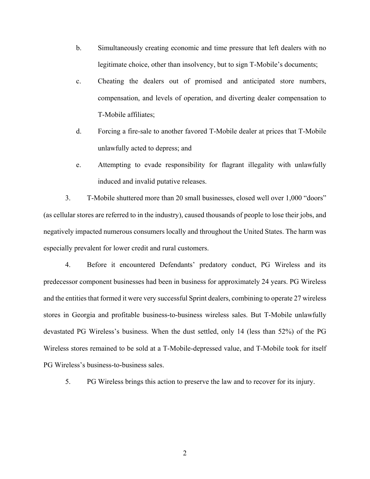- b. Simultaneously creating economic and time pressure that left dealers with no legitimate choice, other than insolvency, but to sign T-Mobile's documents;
- c. Cheating the dealers out of promised and anticipated store numbers, compensation, and levels of operation, and diverting dealer compensation to T-Mobile affiliates;
- d. Forcing a fire-sale to another favored T-Mobile dealer at prices that T-Mobile unlawfully acted to depress; and
- e. Attempting to evade responsibility for flagrant illegality with unlawfully induced and invalid putative releases.

3. T-Mobile shuttered more than 20 small businesses, closed well over 1,000 "doors" (as cellular stores are referred to in the industry), caused thousands of people to lose their jobs, and negatively impacted numerous consumers locally and throughout the United States. The harm was especially prevalent for lower credit and rural customers.

4. Before it encountered Defendants' predatory conduct, PG Wireless and its predecessor component businesses had been in business for approximately 24 years. PG Wireless and the entities that formed it were very successful Sprint dealers, combining to operate 27 wireless stores in Georgia and profitable business-to-business wireless sales. But T-Mobile unlawfully devastated PG Wireless's business. When the dust settled, only 14 (less than 52%) of the PG Wireless stores remained to be sold at a T-Mobile-depressed value, and T-Mobile took for itself PG Wireless's business-to-business sales.

5. PG Wireless brings this action to preserve the law and to recover for its injury.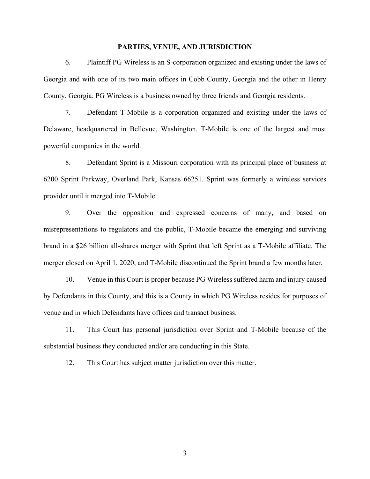#### **PARTIES, VENUE, AND JURISDICTION**

6. Plaintiff PG Wireless is an S-corporation organized and existing under the laws of Georgia and with one of its two main offices in Cobb County, Georgia and the other in Henry County, Georgia. PG Wireless is a business owned by three friends and Georgia residents.

7. Defendant T-Mobile is a corporation organized and existing under the laws of Delaware, headquartered in Bellevue, Washington. T-Mobile is one of the largest and most powerful companies in the world.

8. Defendant Sprint is a Missouri corporation with its principal place of business at 6200 Sprint Parkway, Overland Park, Kansas 66251. Sprint was formerly a wireless services provider until it merged into T-Mobile.

9. Over the opposition and expressed concerns of many, and based on misrepresentations to regulators and the public, T-Mobile became the emerging and surviving brand in a \$26 billion all-shares merger with Sprint that left Sprint as a T-Mobile affiliate. The merger closed on April 1, 2020, and T-Mobile discontinued the Sprint brand a few months later.

10. Venue in this Court is proper because PG Wireless suffered harm and injury caused by Defendants in this County, and this is a County in which PG Wireless resides for purposes of venue and in which Defendants have offices and transact business.

11. This Court has personal jurisdiction over Sprint and T-Mobile because of the substantial business they conducted and/or are conducting in this State.

12. This Court has subject matter jurisdiction over this matter.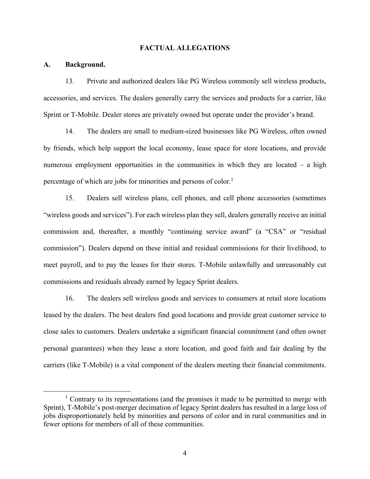#### **FACTUAL ALLEGATIONS**

#### **A. Background.**

13. Private and authorized dealers like PG Wireless commonly sell wireless products, accessories, and services. The dealers generally carry the services and products for a carrier, like Sprint or T-Mobile. Dealer stores are privately owned but operate under the provider's brand.

14. The dealers are small to medium-sized businesses like PG Wireless, often owned by friends, which help support the local economy, lease space for store locations, and provide numerous employment opportunities in the communities in which they are located – a high percentage of which are jobs for minorities and persons of color.<sup>1</sup>

15. Dealers sell wireless plans, cell phones, and cell phone accessories (sometimes "wireless goods and services"). For each wireless plan they sell, dealers generally receive an initial commission and, thereafter, a monthly "continuing service award" (a "CSA" or "residual commission"). Dealers depend on these initial and residual commissions for their livelihood, to meet payroll, and to pay the leases for their stores. T-Mobile unlawfully and unreasonably cut commissions and residuals already earned by legacy Sprint dealers.

16. The dealers sell wireless goods and services to consumers at retail store locations leased by the dealers. The best dealers find good locations and provide great customer service to close sales to customers. Dealers undertake a significant financial commitment (and often owner personal guarantees) when they lease a store location, and good faith and fair dealing by the carriers (like T-Mobile) is a vital component of the dealers meeting their financial commitments.

 $\overline{\phantom{a}1}$  $1$  Contrary to its representations (and the promises it made to be permitted to merge with Sprint), T-Mobile's post-merger decimation of legacy Sprint dealers has resulted in a large loss of jobs disproportionately held by minorities and persons of color and in rural communities and in fewer options for members of all of these communities.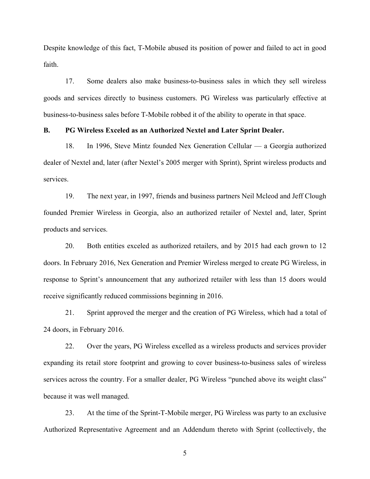Despite knowledge of this fact, T-Mobile abused its position of power and failed to act in good faith.

17. Some dealers also make business-to-business sales in which they sell wireless goods and services directly to business customers. PG Wireless was particularly effective at business-to-business sales before T-Mobile robbed it of the ability to operate in that space.

# **B. PG Wireless Exceled as an Authorized Nextel and Later Sprint Dealer.**

18. In 1996, Steve Mintz founded Nex Generation Cellular — a Georgia authorized dealer of Nextel and, later (after Nextel's 2005 merger with Sprint), Sprint wireless products and services.

19. The next year, in 1997, friends and business partners Neil Mcleod and Jeff Clough founded Premier Wireless in Georgia, also an authorized retailer of Nextel and, later, Sprint products and services.

20. Both entities exceled as authorized retailers, and by 2015 had each grown to 12 doors. In February 2016, Nex Generation and Premier Wireless merged to create PG Wireless, in response to Sprint's announcement that any authorized retailer with less than 15 doors would receive significantly reduced commissions beginning in 2016.

21. Sprint approved the merger and the creation of PG Wireless, which had a total of 24 doors, in February 2016.

22. Over the years, PG Wireless excelled as a wireless products and services provider expanding its retail store footprint and growing to cover business-to-business sales of wireless services across the country. For a smaller dealer, PG Wireless "punched above its weight class" because it was well managed.

23. At the time of the Sprint-T-Mobile merger, PG Wireless was party to an exclusive Authorized Representative Agreement and an Addendum thereto with Sprint (collectively, the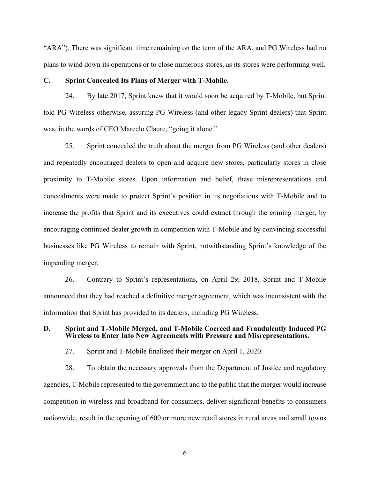"ARA"). There was significant time remaining on the term of the ARA, and PG Wireless had no plans to wind down its operations or to close numerous stores, as its stores were performing well.

#### **C. Sprint Concealed Its Plans of Merger with T-Mobile.**

24. By late 2017, Sprint knew that it would soon be acquired by T-Mobile, but Sprint told PG Wireless otherwise, assuring PG Wireless (and other legacy Sprint dealers) that Sprint was, in the words of CEO Marcelo Claure, "going it alone."

25. Sprint concealed the truth about the merger from PG Wireless (and other dealers) and repeatedly encouraged dealers to open and acquire new stores, particularly stores in close proximity to T-Mobile stores. Upon information and belief, these misrepresentations and concealments were made to protect Sprint's position in its negotiations with T-Mobile and to increase the profits that Sprint and its executives could extract through the coming merger, by encouraging continued dealer growth in competition with T-Mobile and by convincing successful businesses like PG Wireless to remain with Sprint, notwithstanding Sprint's knowledge of the impending merger.

26. Contrary to Sprint's representations, on April 29, 2018, Sprint and T-Mobile announced that they had reached a definitive merger agreement, which was inconsistent with the information that Sprint has provided to its dealers, including PG Wireless.

## **D. Sprint and T-Mobile Merged, and T-Mobile Coerced and Fraudulently Induced PG Wireless to Enter Into New Agreements with Pressure and Misrepresentations.**

27. Sprint and T-Mobile finalized their merger on April 1, 2020.

28. To obtain the necessary approvals from the Department of Justice and regulatory agencies, T-Mobile represented to the government and to the public that the merger would increase competition in wireless and broadband for consumers, deliver significant benefits to consumers nationwide, result in the opening of 600 or more new retail stores in rural areas and small towns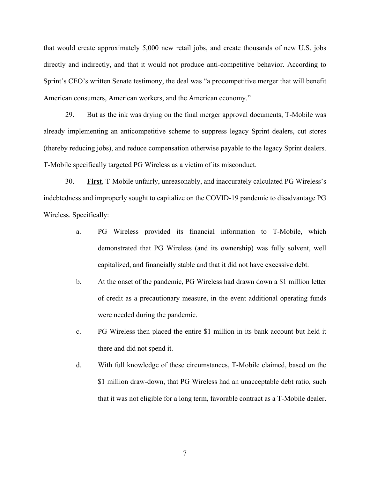that would create approximately 5,000 new retail jobs, and create thousands of new U.S. jobs directly and indirectly, and that it would not produce anti-competitive behavior. According to Sprint's CEO's written Senate testimony, the deal was "a procompetitive merger that will benefit American consumers, American workers, and the American economy."

29. But as the ink was drying on the final merger approval documents, T-Mobile was already implementing an anticompetitive scheme to suppress legacy Sprint dealers, cut stores (thereby reducing jobs), and reduce compensation otherwise payable to the legacy Sprint dealers. T-Mobile specifically targeted PG Wireless as a victim of its misconduct.

30. **First**, T-Mobile unfairly, unreasonably, and inaccurately calculated PG Wireless's indebtedness and improperly sought to capitalize on the COVID-19 pandemic to disadvantage PG Wireless. Specifically:

- a. PG Wireless provided its financial information to T-Mobile, which demonstrated that PG Wireless (and its ownership) was fully solvent, well capitalized, and financially stable and that it did not have excessive debt.
- b. At the onset of the pandemic, PG Wireless had drawn down a \$1 million letter of credit as a precautionary measure, in the event additional operating funds were needed during the pandemic.
- c. PG Wireless then placed the entire \$1 million in its bank account but held it there and did not spend it.
- d. With full knowledge of these circumstances, T-Mobile claimed, based on the \$1 million draw-down, that PG Wireless had an unacceptable debt ratio, such that it was not eligible for a long term, favorable contract as a T-Mobile dealer.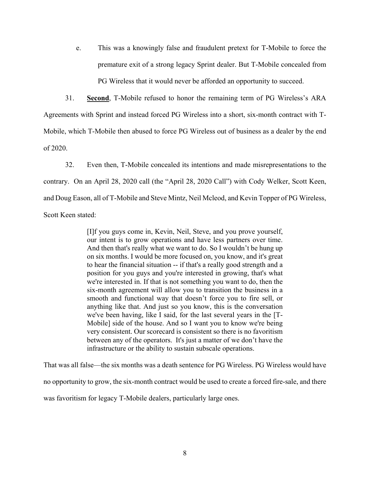e. This was a knowingly false and fraudulent pretext for T-Mobile to force the premature exit of a strong legacy Sprint dealer. But T-Mobile concealed from PG Wireless that it would never be afforded an opportunity to succeed.

31. **Second**, T-Mobile refused to honor the remaining term of PG Wireless's ARA Agreements with Sprint and instead forced PG Wireless into a short, six-month contract with T-Mobile, which T-Mobile then abused to force PG Wireless out of business as a dealer by the end of 2020.

32. Even then, T-Mobile concealed its intentions and made misrepresentations to the contrary. On an April 28, 2020 call (the "April 28, 2020 Call") with Cody Welker, Scott Keen, and Doug Eason, all of T-Mobile and Steve Mintz, Neil Mcleod, and Kevin Topper of PG Wireless, Scott Keen stated:

> [I]f you guys come in, Kevin, Neil, Steve, and you prove yourself, our intent is to grow operations and have less partners over time. And then that's really what we want to do. So I wouldn't be hung up on six months. I would be more focused on, you know, and it's great to hear the financial situation -- if that's a really good strength and a position for you guys and you're interested in growing, that's what we're interested in. If that is not something you want to do, then the six-month agreement will allow you to transition the business in a smooth and functional way that doesn't force you to fire sell, or anything like that. And just so you know, this is the conversation we've been having, like I said, for the last several years in the [T-Mobile] side of the house. And so I want you to know we're being very consistent. Our scorecard is consistent so there is no favoritism between any of the operators. It's just a matter of we don't have the infrastructure or the ability to sustain subscale operations.

That was all false—the six months was a death sentence for PG Wireless. PG Wireless would have no opportunity to grow, the six-month contract would be used to create a forced fire-sale, and there was favoritism for legacy T-Mobile dealers, particularly large ones.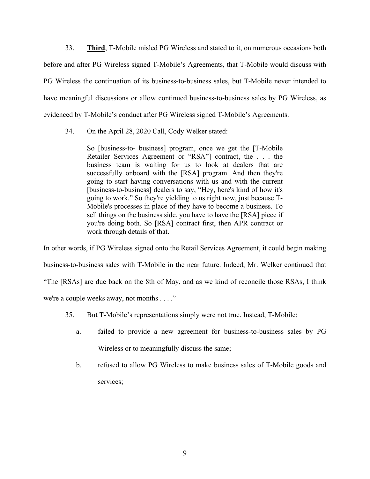33. **Third**, T-Mobile misled PG Wireless and stated to it, on numerous occasions both before and after PG Wireless signed T-Mobile's Agreements, that T-Mobile would discuss with PG Wireless the continuation of its business-to-business sales, but T-Mobile never intended to have meaningful discussions or allow continued business-to-business sales by PG Wireless, as evidenced by T-Mobile's conduct after PG Wireless signed T-Mobile's Agreements.

34. On the April 28, 2020 Call, Cody Welker stated:

So [business-to- business] program, once we get the [T-Mobile Retailer Services Agreement or "RSA"] contract, the . . . the business team is waiting for us to look at dealers that are successfully onboard with the [RSA] program. And then they're going to start having conversations with us and with the current [business-to-business] dealers to say, "Hey, here's kind of how it's going to work." So they're yielding to us right now, just because T-Mobile's processes in place of they have to become a business. To sell things on the business side, you have to have the [RSA] piece if you're doing both. So [RSA] contract first, then APR contract or work through details of that.

In other words, if PG Wireless signed onto the Retail Services Agreement, it could begin making business-to-business sales with T-Mobile in the near future. Indeed, Mr. Welker continued that "The [RSAs] are due back on the 8th of May, and as we kind of reconcile those RSAs, I think we're a couple weeks away, not months . . . ."

- 35. But T-Mobile's representations simply were not true. Instead, T-Mobile:
	- a. failed to provide a new agreement for business-to-business sales by PG Wireless or to meaningfully discuss the same;
	- b. refused to allow PG Wireless to make business sales of T-Mobile goods and services;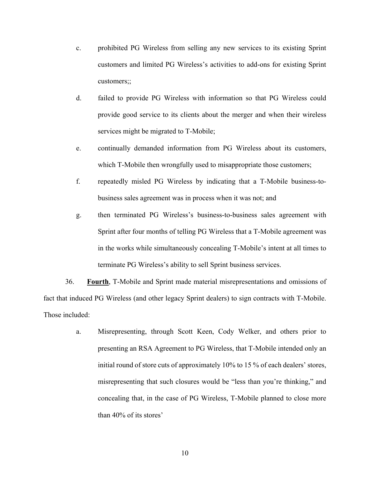- c. prohibited PG Wireless from selling any new services to its existing Sprint customers and limited PG Wireless's activities to add-ons for existing Sprint customers;;
- d. failed to provide PG Wireless with information so that PG Wireless could provide good service to its clients about the merger and when their wireless services might be migrated to T-Mobile;
- e. continually demanded information from PG Wireless about its customers, which T-Mobile then wrongfully used to misappropriate those customers;
- f. repeatedly misled PG Wireless by indicating that a T-Mobile business-tobusiness sales agreement was in process when it was not; and
- g. then terminated PG Wireless's business-to-business sales agreement with Sprint after four months of telling PG Wireless that a T-Mobile agreement was in the works while simultaneously concealing T-Mobile's intent at all times to terminate PG Wireless's ability to sell Sprint business services.

36. **Fourth**, T-Mobile and Sprint made material misrepresentations and omissions of fact that induced PG Wireless (and other legacy Sprint dealers) to sign contracts with T-Mobile. Those included:

> a. Misrepresenting, through Scott Keen, Cody Welker, and others prior to presenting an RSA Agreement to PG Wireless, that T-Mobile intended only an initial round of store cuts of approximately 10% to 15 % of each dealers' stores, misrepresenting that such closures would be "less than you're thinking," and concealing that, in the case of PG Wireless, T-Mobile planned to close more than 40% of its stores'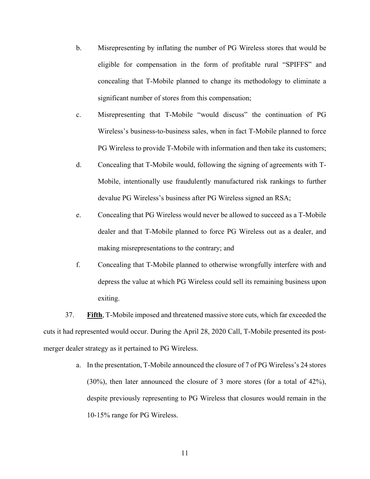- b. Misrepresenting by inflating the number of PG Wireless stores that would be eligible for compensation in the form of profitable rural "SPIFFS" and concealing that T-Mobile planned to change its methodology to eliminate a significant number of stores from this compensation;
- c. Misrepresenting that T-Mobile "would discuss" the continuation of PG Wireless's business-to-business sales, when in fact T-Mobile planned to force PG Wireless to provide T-Mobile with information and then take its customers;
- d. Concealing that T-Mobile would, following the signing of agreements with T-Mobile, intentionally use fraudulently manufactured risk rankings to further devalue PG Wireless's business after PG Wireless signed an RSA;
- e. Concealing that PG Wireless would never be allowed to succeed as a T-Mobile dealer and that T-Mobile planned to force PG Wireless out as a dealer, and making misrepresentations to the contrary; and
- f. Concealing that T-Mobile planned to otherwise wrongfully interfere with and depress the value at which PG Wireless could sell its remaining business upon exiting.

37. **Fifth**, T-Mobile imposed and threatened massive store cuts, which far exceeded the cuts it had represented would occur. During the April 28, 2020 Call, T-Mobile presented its postmerger dealer strategy as it pertained to PG Wireless.

> a. In the presentation, T-Mobile announced the closure of 7 of PG Wireless's 24 stores (30%), then later announced the closure of 3 more stores (for a total of 42%), despite previously representing to PG Wireless that closures would remain in the 10-15% range for PG Wireless.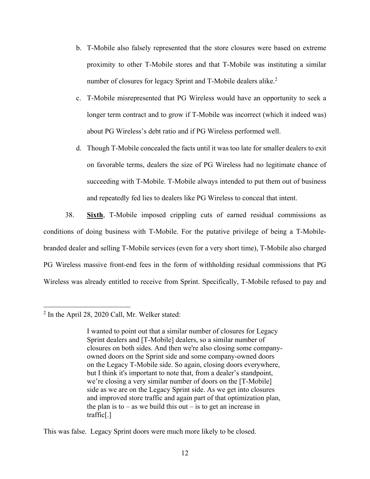- b. T-Mobile also falsely represented that the store closures were based on extreme proximity to other T-Mobile stores and that T-Mobile was instituting a similar number of closures for legacy Sprint and T-Mobile dealers alike.<sup>2</sup>
- c. T-Mobile misrepresented that PG Wireless would have an opportunity to seek a longer term contract and to grow if T-Mobile was incorrect (which it indeed was) about PG Wireless's debt ratio and if PG Wireless performed well.
- d. Though T-Mobile concealed the facts until it was too late for smaller dealers to exit on favorable terms, dealers the size of PG Wireless had no legitimate chance of succeeding with T-Mobile. T-Mobile always intended to put them out of business and repeatedly fed lies to dealers like PG Wireless to conceal that intent.

38. **Sixth**, T-Mobile imposed crippling cuts of earned residual commissions as conditions of doing business with T-Mobile. For the putative privilege of being a T-Mobilebranded dealer and selling T-Mobile services (even for a very short time), T-Mobile also charged PG Wireless massive front-end fees in the form of withholding residual commissions that PG Wireless was already entitled to receive from Sprint. Specifically, T-Mobile refused to pay and

 $\overline{a}$ 

This was false. Legacy Sprint doors were much more likely to be closed.

 $2$  In the April 28, 2020 Call, Mr. Welker stated:

I wanted to point out that a similar number of closures for Legacy Sprint dealers and [T-Mobile] dealers, so a similar number of closures on both sides. And then we're also closing some companyowned doors on the Sprint side and some company-owned doors on the Legacy T-Mobile side. So again, closing doors everywhere, but I think it's important to note that, from a dealer's standpoint, we're closing a very similar number of doors on the [T-Mobile] side as we are on the Legacy Sprint side. As we get into closures and improved store traffic and again part of that optimization plan, the plan is to – as we build this out – is to get an increase in traffic[.]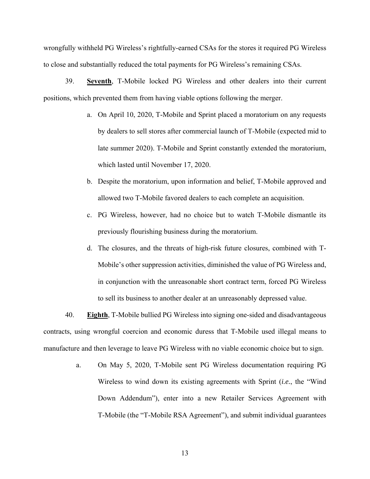wrongfully withheld PG Wireless's rightfully-earned CSAs for the stores it required PG Wireless to close and substantially reduced the total payments for PG Wireless's remaining CSAs.

39. **Seventh**, T-Mobile locked PG Wireless and other dealers into their current positions, which prevented them from having viable options following the merger.

- a. On April 10, 2020, T-Mobile and Sprint placed a moratorium on any requests by dealers to sell stores after commercial launch of T-Mobile (expected mid to late summer 2020). T-Mobile and Sprint constantly extended the moratorium, which lasted until November 17, 2020.
- b. Despite the moratorium, upon information and belief, T-Mobile approved and allowed two T-Mobile favored dealers to each complete an acquisition.
- c. PG Wireless, however, had no choice but to watch T-Mobile dismantle its previously flourishing business during the moratorium.
- d. The closures, and the threats of high-risk future closures, combined with T-Mobile's other suppression activities, diminished the value of PG Wireless and, in conjunction with the unreasonable short contract term, forced PG Wireless to sell its business to another dealer at an unreasonably depressed value.

40. **Eighth**, T-Mobile bullied PG Wireless into signing one-sided and disadvantageous contracts, using wrongful coercion and economic duress that T-Mobile used illegal means to manufacture and then leverage to leave PG Wireless with no viable economic choice but to sign.

> a. On May 5, 2020, T-Mobile sent PG Wireless documentation requiring PG Wireless to wind down its existing agreements with Sprint (*i.e.*, the "Wind Down Addendum"), enter into a new Retailer Services Agreement with T-Mobile (the "T-Mobile RSA Agreement"), and submit individual guarantees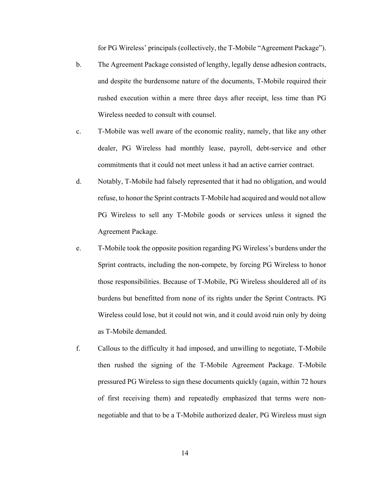for PG Wireless' principals (collectively, the T-Mobile "Agreement Package").

- b. The Agreement Package consisted of lengthy, legally dense adhesion contracts, and despite the burdensome nature of the documents, T-Mobile required their rushed execution within a mere three days after receipt, less time than PG Wireless needed to consult with counsel.
- c. T-Mobile was well aware of the economic reality, namely, that like any other dealer, PG Wireless had monthly lease, payroll, debt-service and other commitments that it could not meet unless it had an active carrier contract.
- d. Notably, T-Mobile had falsely represented that it had no obligation, and would refuse, to honor the Sprint contracts T-Mobile had acquired and would not allow PG Wireless to sell any T-Mobile goods or services unless it signed the Agreement Package.
- e. T-Mobile took the opposite position regarding PG Wireless's burdens under the Sprint contracts, including the non-compete, by forcing PG Wireless to honor those responsibilities. Because of T-Mobile, PG Wireless shouldered all of its burdens but benefitted from none of its rights under the Sprint Contracts. PG Wireless could lose, but it could not win, and it could avoid ruin only by doing as T-Mobile demanded.
- f. Callous to the difficulty it had imposed, and unwilling to negotiate, T-Mobile then rushed the signing of the T-Mobile Agreement Package. T-Mobile pressured PG Wireless to sign these documents quickly (again, within 72 hours of first receiving them) and repeatedly emphasized that terms were nonnegotiable and that to be a T-Mobile authorized dealer, PG Wireless must sign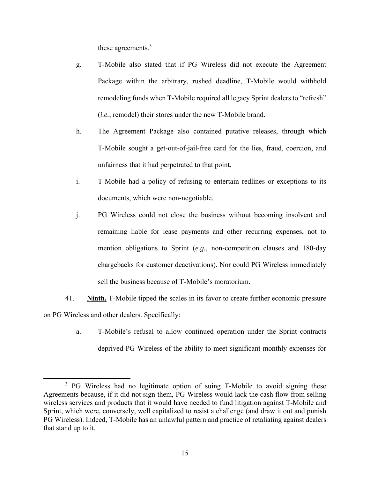these agreements.<sup>3</sup>

- g. T-Mobile also stated that if PG Wireless did not execute the Agreement Package within the arbitrary, rushed deadline, T-Mobile would withhold remodeling funds when T-Mobile required all legacy Sprint dealers to "refresh" (*i.e.*, remodel) their stores under the new T-Mobile brand.
- h. The Agreement Package also contained putative releases, through which T-Mobile sought a get-out-of-jail-free card for the lies, fraud, coercion, and unfairness that it had perpetrated to that point.
- i. T-Mobile had a policy of refusing to entertain redlines or exceptions to its documents, which were non-negotiable.
- j. PG Wireless could not close the business without becoming insolvent and remaining liable for lease payments and other recurring expenses, not to mention obligations to Sprint (*e.g.*, non-competition clauses and 180-day chargebacks for customer deactivations). Nor could PG Wireless immediately sell the business because of T-Mobile's moratorium.
- 41. **Ninth,** T-Mobile tipped the scales in its favor to create further economic pressure on PG Wireless and other dealers. Specifically:
	- a. T-Mobile's refusal to allow continued operation under the Sprint contracts deprived PG Wireless of the ability to meet significant monthly expenses for

 $\overline{\phantom{a}}$ <sup>3</sup> PG Wireless had no legitimate option of suing T-Mobile to avoid signing these Agreements because, if it did not sign them, PG Wireless would lack the cash flow from selling wireless services and products that it would have needed to fund litigation against T-Mobile and Sprint, which were, conversely, well capitalized to resist a challenge (and draw it out and punish PG Wireless). Indeed, T-Mobile has an unlawful pattern and practice of retaliating against dealers that stand up to it.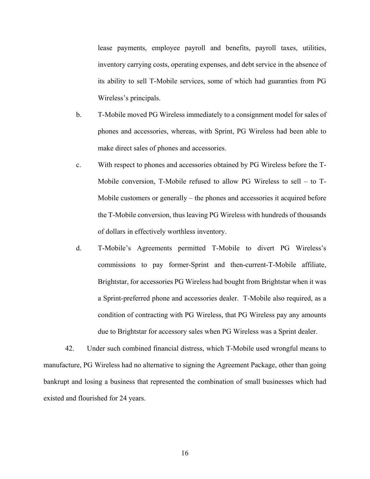lease payments, employee payroll and benefits, payroll taxes, utilities, inventory carrying costs, operating expenses, and debt service in the absence of its ability to sell T-Mobile services, some of which had guaranties from PG Wireless's principals.

- b. T-Mobile moved PG Wireless immediately to a consignment model for sales of phones and accessories, whereas, with Sprint, PG Wireless had been able to make direct sales of phones and accessories.
- c. With respect to phones and accessories obtained by PG Wireless before the T-Mobile conversion, T-Mobile refused to allow PG Wireless to sell – to T-Mobile customers or generally – the phones and accessories it acquired before the T-Mobile conversion, thus leaving PG Wireless with hundreds of thousands of dollars in effectively worthless inventory.
- d. T-Mobile's Agreements permitted T-Mobile to divert PG Wireless's commissions to pay former-Sprint and then-current-T-Mobile affiliate, Brightstar, for accessories PG Wireless had bought from Brightstar when it was a Sprint-preferred phone and accessories dealer. T-Mobile also required, as a condition of contracting with PG Wireless, that PG Wireless pay any amounts due to Brightstar for accessory sales when PG Wireless was a Sprint dealer.

42. Under such combined financial distress, which T-Mobile used wrongful means to manufacture, PG Wireless had no alternative to signing the Agreement Package, other than going bankrupt and losing a business that represented the combination of small businesses which had existed and flourished for 24 years.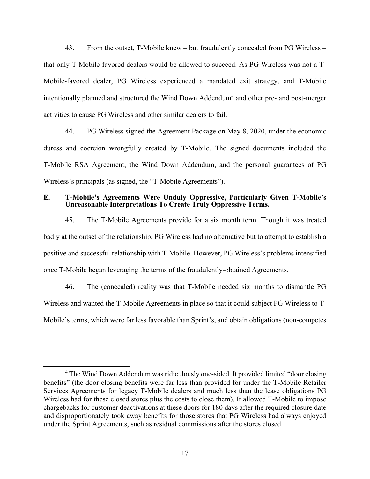43. From the outset, T-Mobile knew – but fraudulently concealed from PG Wireless – that only T-Mobile-favored dealers would be allowed to succeed. As PG Wireless was not a T-Mobile-favored dealer, PG Wireless experienced a mandated exit strategy, and T-Mobile intentionally planned and structured the Wind Down Addendum<sup>4</sup> and other pre- and post-merger activities to cause PG Wireless and other similar dealers to fail.

44. PG Wireless signed the Agreement Package on May 8, 2020, under the economic duress and coercion wrongfully created by T-Mobile. The signed documents included the T-Mobile RSA Agreement, the Wind Down Addendum, and the personal guarantees of PG Wireless's principals (as signed, the "T-Mobile Agreements").

# **E. T-Mobile's Agreements Were Unduly Oppressive, Particularly Given T-Mobile's Unreasonable Interpretations To Create Truly Oppressive Terms.**

45. The T-Mobile Agreements provide for a six month term. Though it was treated badly at the outset of the relationship, PG Wireless had no alternative but to attempt to establish a positive and successful relationship with T-Mobile. However, PG Wireless's problems intensified once T-Mobile began leveraging the terms of the fraudulently-obtained Agreements.

46. The (concealed) reality was that T-Mobile needed six months to dismantle PG Wireless and wanted the T-Mobile Agreements in place so that it could subject PG Wireless to T-Mobile's terms, which were far less favorable than Sprint's, and obtain obligations (non-competes

 $\overline{4}$ <sup>4</sup> The Wind Down Addendum was ridiculously one-sided. It provided limited "door closing" benefits" (the door closing benefits were far less than provided for under the T-Mobile Retailer Services Agreements for legacy T-Mobile dealers and much less than the lease obligations PG Wireless had for these closed stores plus the costs to close them). It allowed T-Mobile to impose chargebacks for customer deactivations at these doors for 180 days after the required closure date and disproportionately took away benefits for those stores that PG Wireless had always enjoyed under the Sprint Agreements, such as residual commissions after the stores closed.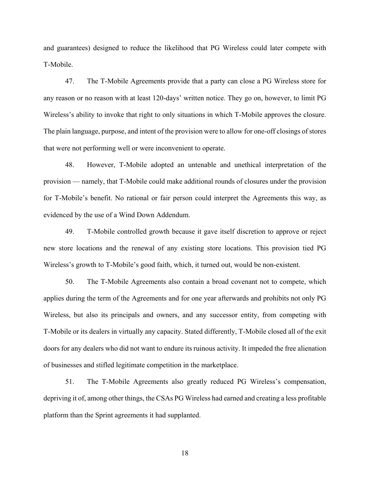and guarantees) designed to reduce the likelihood that PG Wireless could later compete with T-Mobile.

47. The T-Mobile Agreements provide that a party can close a PG Wireless store for any reason or no reason with at least 120-days' written notice. They go on, however, to limit PG Wireless's ability to invoke that right to only situations in which T-Mobile approves the closure. The plain language, purpose, and intent of the provision were to allow for one-off closings of stores that were not performing well or were inconvenient to operate.

48. However, T-Mobile adopted an untenable and unethical interpretation of the provision — namely, that T-Mobile could make additional rounds of closures under the provision for T-Mobile's benefit. No rational or fair person could interpret the Agreements this way, as evidenced by the use of a Wind Down Addendum.

49. T-Mobile controlled growth because it gave itself discretion to approve or reject new store locations and the renewal of any existing store locations. This provision tied PG Wireless's growth to T-Mobile's good faith, which, it turned out, would be non-existent.

50. The T-Mobile Agreements also contain a broad covenant not to compete, which applies during the term of the Agreements and for one year afterwards and prohibits not only PG Wireless, but also its principals and owners, and any successor entity, from competing with T-Mobile or its dealers in virtually any capacity. Stated differently, T-Mobile closed all of the exit doors for any dealers who did not want to endure its ruinous activity. It impeded the free alienation of businesses and stifled legitimate competition in the marketplace.

51. The T-Mobile Agreements also greatly reduced PG Wireless's compensation, depriving it of, among other things, the CSAs PG Wireless had earned and creating a less profitable platform than the Sprint agreements it had supplanted.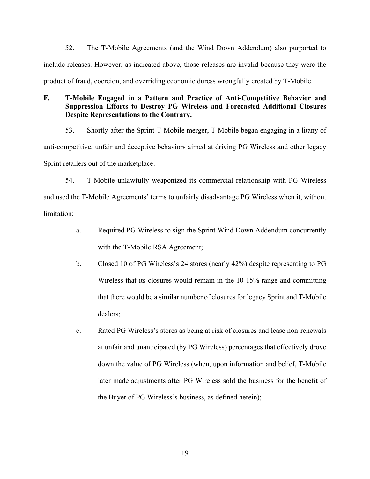52. The T-Mobile Agreements (and the Wind Down Addendum) also purported to include releases. However, as indicated above, those releases are invalid because they were the product of fraud, coercion, and overriding economic duress wrongfully created by T-Mobile.

# **F. T-Mobile Engaged in a Pattern and Practice of Anti-Competitive Behavior and Suppression Efforts to Destroy PG Wireless and Forecasted Additional Closures Despite Representations to the Contrary.**

53. Shortly after the Sprint-T-Mobile merger, T-Mobile began engaging in a litany of anti-competitive, unfair and deceptive behaviors aimed at driving PG Wireless and other legacy Sprint retailers out of the marketplace.

54. T-Mobile unlawfully weaponized its commercial relationship with PG Wireless and used the T-Mobile Agreements' terms to unfairly disadvantage PG Wireless when it, without limitation:

- a. Required PG Wireless to sign the Sprint Wind Down Addendum concurrently with the T-Mobile RSA Agreement;
- b. Closed 10 of PG Wireless's 24 stores (nearly 42%) despite representing to PG Wireless that its closures would remain in the 10-15% range and committing that there would be a similar number of closures for legacy Sprint and T-Mobile dealers;
- c. Rated PG Wireless's stores as being at risk of closures and lease non-renewals at unfair and unanticipated (by PG Wireless) percentages that effectively drove down the value of PG Wireless (when, upon information and belief, T-Mobile later made adjustments after PG Wireless sold the business for the benefit of the Buyer of PG Wireless's business, as defined herein);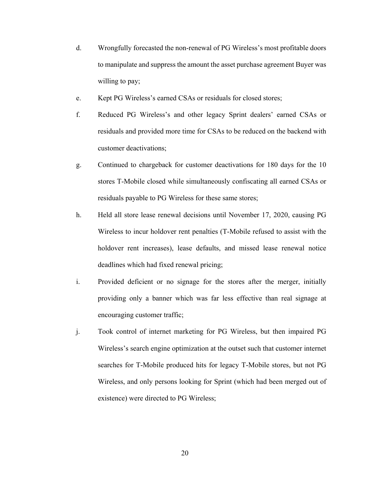- d. Wrongfully forecasted the non-renewal of PG Wireless's most profitable doors to manipulate and suppress the amount the asset purchase agreement Buyer was willing to pay;
- e. Kept PG Wireless's earned CSAs or residuals for closed stores;
- f. Reduced PG Wireless's and other legacy Sprint dealers' earned CSAs or residuals and provided more time for CSAs to be reduced on the backend with customer deactivations;
- g. Continued to chargeback for customer deactivations for 180 days for the 10 stores T-Mobile closed while simultaneously confiscating all earned CSAs or residuals payable to PG Wireless for these same stores;
- h. Held all store lease renewal decisions until November 17, 2020, causing PG Wireless to incur holdover rent penalties (T-Mobile refused to assist with the holdover rent increases), lease defaults, and missed lease renewal notice deadlines which had fixed renewal pricing;
- i. Provided deficient or no signage for the stores after the merger, initially providing only a banner which was far less effective than real signage at encouraging customer traffic;
- j. Took control of internet marketing for PG Wireless, but then impaired PG Wireless's search engine optimization at the outset such that customer internet searches for T-Mobile produced hits for legacy T-Mobile stores, but not PG Wireless, and only persons looking for Sprint (which had been merged out of existence) were directed to PG Wireless;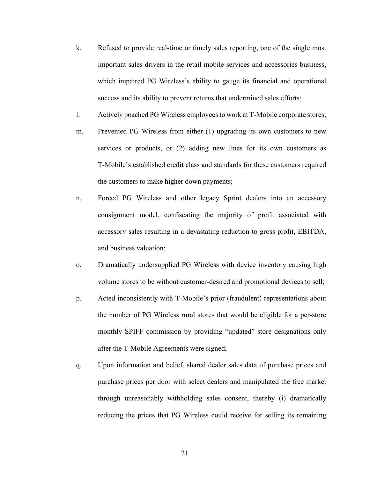- k. Refused to provide real-time or timely sales reporting, one of the single most important sales drivers in the retail mobile services and accessories business, which impaired PG Wireless's ability to gauge its financial and operational success and its ability to prevent returns that undermined sales efforts;
- l. Actively poached PG Wireless employees to work at T-Mobile corporate stores;
- m. Prevented PG Wireless from either (1) upgrading its own customers to new services or products, or (2) adding new lines for its own customers as T-Mobile's established credit class and standards for these customers required the customers to make higher down payments;
- n. Forced PG Wireless and other legacy Sprint dealers into an accessory consignment model, confiscating the majority of profit associated with accessory sales resulting in a devastating reduction to gross profit, EBITDA, and business valuation;
- o. Dramatically undersupplied PG Wireless with device inventory causing high volume stores to be without customer-desired and promotional devices to sell;
- p. Acted inconsistently with T-Mobile's prior (fraudulent) representations about the number of PG Wireless rural stores that would be eligible for a per-store monthly SPIFF commission by providing "updated" store designations only after the T-Mobile Agreements were signed;
- q. Upon information and belief, shared dealer sales data of purchase prices and purchase prices per door with select dealers and manipulated the free market through unreasonably withholding sales consent, thereby (i) dramatically reducing the prices that PG Wireless could receive for selling its remaining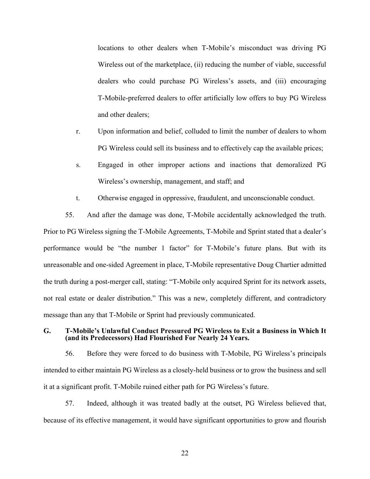locations to other dealers when T-Mobile's misconduct was driving PG Wireless out of the marketplace, (ii) reducing the number of viable, successful dealers who could purchase PG Wireless's assets, and (iii) encouraging T-Mobile-preferred dealers to offer artificially low offers to buy PG Wireless and other dealers;

- r. Upon information and belief, colluded to limit the number of dealers to whom PG Wireless could sell its business and to effectively cap the available prices;
- s. Engaged in other improper actions and inactions that demoralized PG Wireless's ownership, management, and staff; and
- t. Otherwise engaged in oppressive, fraudulent, and unconscionable conduct.

55. And after the damage was done, T-Mobile accidentally acknowledged the truth. Prior to PG Wireless signing the T-Mobile Agreements, T-Mobile and Sprint stated that a dealer's performance would be "the number 1 factor" for T-Mobile's future plans. But with its unreasonable and one-sided Agreement in place, T-Mobile representative Doug Chartier admitted the truth during a post-merger call, stating: "T-Mobile only acquired Sprint for its network assets, not real estate or dealer distribution." This was a new, completely different, and contradictory message than any that T-Mobile or Sprint had previously communicated.

### **G. T-Mobile's Unlawful Conduct Pressured PG Wireless to Exit a Business in Which It (and its Predecessors) Had Flourished For Nearly 24 Years.**

56. Before they were forced to do business with T-Mobile, PG Wireless's principals intended to either maintain PG Wireless as a closely-held business or to grow the business and sell it at a significant profit. T-Mobile ruined either path for PG Wireless's future.

57. Indeed, although it was treated badly at the outset, PG Wireless believed that, because of its effective management, it would have significant opportunities to grow and flourish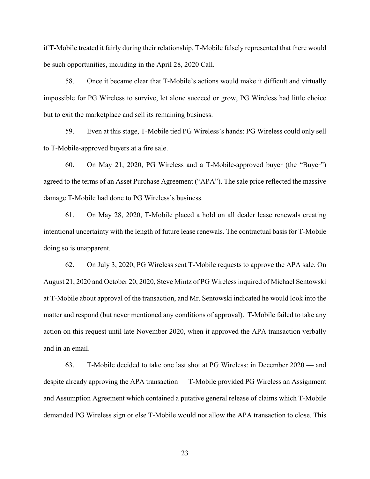if T-Mobile treated it fairly during their relationship. T-Mobile falsely represented that there would be such opportunities, including in the April 28, 2020 Call.

58. Once it became clear that T-Mobile's actions would make it difficult and virtually impossible for PG Wireless to survive, let alone succeed or grow, PG Wireless had little choice but to exit the marketplace and sell its remaining business.

59. Even at this stage, T-Mobile tied PG Wireless's hands: PG Wireless could only sell to T-Mobile-approved buyers at a fire sale.

60. On May 21, 2020, PG Wireless and a T-Mobile-approved buyer (the "Buyer") agreed to the terms of an Asset Purchase Agreement ("APA"). The sale price reflected the massive damage T-Mobile had done to PG Wireless's business.

61. On May 28, 2020, T-Mobile placed a hold on all dealer lease renewals creating intentional uncertainty with the length of future lease renewals. The contractual basis for T-Mobile doing so is unapparent.

62. On July 3, 2020, PG Wireless sent T-Mobile requests to approve the APA sale. On August 21, 2020 and October 20, 2020, Steve Mintz of PG Wireless inquired of Michael Sentowski at T-Mobile about approval of the transaction, and Mr. Sentowski indicated he would look into the matter and respond (but never mentioned any conditions of approval). T-Mobile failed to take any action on this request until late November 2020, when it approved the APA transaction verbally and in an email.

63. T-Mobile decided to take one last shot at PG Wireless: in December 2020 — and despite already approving the APA transaction — T-Mobile provided PG Wireless an Assignment and Assumption Agreement which contained a putative general release of claims which T-Mobile demanded PG Wireless sign or else T-Mobile would not allow the APA transaction to close. This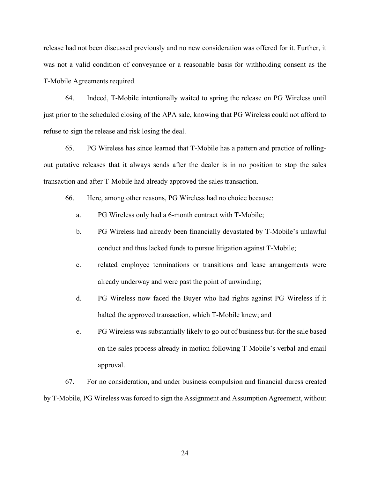release had not been discussed previously and no new consideration was offered for it. Further, it was not a valid condition of conveyance or a reasonable basis for withholding consent as the T-Mobile Agreements required.

64. Indeed, T-Mobile intentionally waited to spring the release on PG Wireless until just prior to the scheduled closing of the APA sale, knowing that PG Wireless could not afford to refuse to sign the release and risk losing the deal.

65. PG Wireless has since learned that T-Mobile has a pattern and practice of rollingout putative releases that it always sends after the dealer is in no position to stop the sales transaction and after T-Mobile had already approved the sales transaction.

66. Here, among other reasons, PG Wireless had no choice because:

- a. PG Wireless only had a 6-month contract with T-Mobile;
- b. PG Wireless had already been financially devastated by T-Mobile's unlawful conduct and thus lacked funds to pursue litigation against T-Mobile;
- c. related employee terminations or transitions and lease arrangements were already underway and were past the point of unwinding;
- d. PG Wireless now faced the Buyer who had rights against PG Wireless if it halted the approved transaction, which T-Mobile knew; and
- e. PG Wireless was substantially likely to go out of business but-for the sale based on the sales process already in motion following T-Mobile's verbal and email approval.

67. For no consideration, and under business compulsion and financial duress created by T-Mobile, PG Wireless was forced to sign the Assignment and Assumption Agreement, without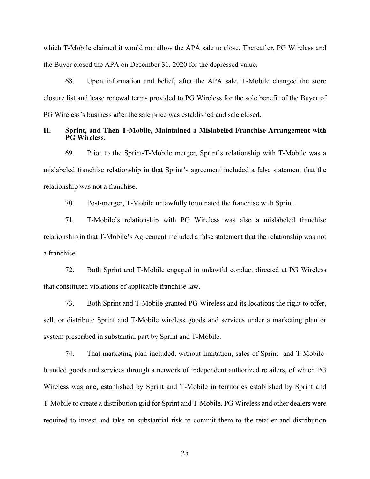which T-Mobile claimed it would not allow the APA sale to close. Thereafter, PG Wireless and the Buyer closed the APA on December 31, 2020 for the depressed value.

68. Upon information and belief, after the APA sale, T-Mobile changed the store closure list and lease renewal terms provided to PG Wireless for the sole benefit of the Buyer of PG Wireless's business after the sale price was established and sale closed.

## **H. Sprint, and Then T-Mobile, Maintained a Mislabeled Franchise Arrangement with PG Wireless.**

69. Prior to the Sprint-T-Mobile merger, Sprint's relationship with T-Mobile was a mislabeled franchise relationship in that Sprint's agreement included a false statement that the relationship was not a franchise.

70. Post-merger, T-Mobile unlawfully terminated the franchise with Sprint.

71. T-Mobile's relationship with PG Wireless was also a mislabeled franchise relationship in that T-Mobile's Agreement included a false statement that the relationship was not a franchise.

72. Both Sprint and T-Mobile engaged in unlawful conduct directed at PG Wireless that constituted violations of applicable franchise law.

73. Both Sprint and T-Mobile granted PG Wireless and its locations the right to offer, sell, or distribute Sprint and T-Mobile wireless goods and services under a marketing plan or system prescribed in substantial part by Sprint and T-Mobile.

74. That marketing plan included, without limitation, sales of Sprint- and T-Mobilebranded goods and services through a network of independent authorized retailers, of which PG Wireless was one, established by Sprint and T-Mobile in territories established by Sprint and T-Mobile to create a distribution grid for Sprint and T-Mobile. PG Wireless and other dealers were required to invest and take on substantial risk to commit them to the retailer and distribution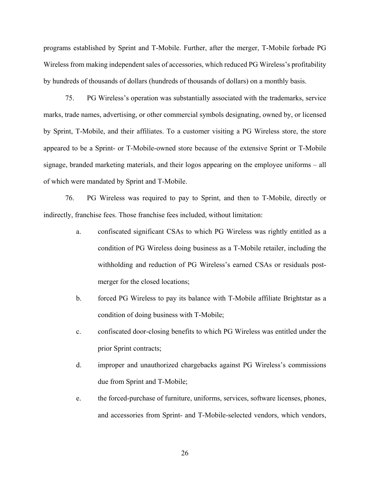programs established by Sprint and T-Mobile. Further, after the merger, T-Mobile forbade PG Wireless from making independent sales of accessories, which reduced PG Wireless's profitability by hundreds of thousands of dollars (hundreds of thousands of dollars) on a monthly basis.

75. PG Wireless's operation was substantially associated with the trademarks, service marks, trade names, advertising, or other commercial symbols designating, owned by, or licensed by Sprint, T-Mobile, and their affiliates. To a customer visiting a PG Wireless store, the store appeared to be a Sprint- or T-Mobile-owned store because of the extensive Sprint or T-Mobile signage, branded marketing materials, and their logos appearing on the employee uniforms – all of which were mandated by Sprint and T-Mobile.

76. PG Wireless was required to pay to Sprint, and then to T-Mobile, directly or indirectly, franchise fees. Those franchise fees included, without limitation:

- a. confiscated significant CSAs to which PG Wireless was rightly entitled as a condition of PG Wireless doing business as a T-Mobile retailer, including the withholding and reduction of PG Wireless's earned CSAs or residuals postmerger for the closed locations;
- b. forced PG Wireless to pay its balance with T-Mobile affiliate Brightstar as a condition of doing business with T-Mobile;
- c. confiscated door-closing benefits to which PG Wireless was entitled under the prior Sprint contracts;
- d. improper and unauthorized chargebacks against PG Wireless's commissions due from Sprint and T-Mobile;
- e. the forced-purchase of furniture, uniforms, services, software licenses, phones, and accessories from Sprint- and T-Mobile-selected vendors, which vendors,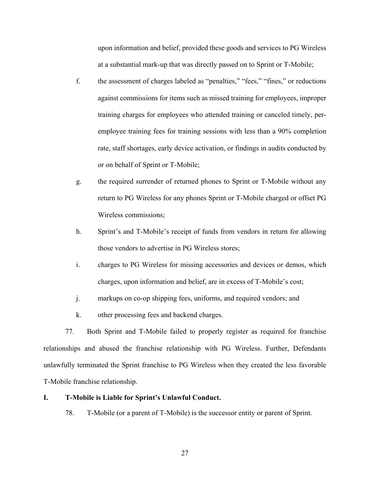upon information and belief, provided these goods and services to PG Wireless at a substantial mark-up that was directly passed on to Sprint or T-Mobile;

- f. the assessment of charges labeled as "penalties," "fees," "fines," or reductions against commissions for items such as missed training for employees, improper training charges for employees who attended training or canceled timely, peremployee training fees for training sessions with less than a 90% completion rate, staff shortages, early device activation, or findings in audits conducted by or on behalf of Sprint or T-Mobile;
- g. the required surrender of returned phones to Sprint or T-Mobile without any return to PG Wireless for any phones Sprint or T-Mobile charged or offset PG Wireless commissions;
- h. Sprint's and T-Mobile's receipt of funds from vendors in return for allowing those vendors to advertise in PG Wireless stores;
- i. charges to PG Wireless for missing accessories and devices or demos, which charges, upon information and belief, are in excess of T-Mobile's cost;
- j. markups on co-op shipping fees, uniforms, and required vendors; and
- k. other processing fees and backend charges.

77. Both Sprint and T-Mobile failed to properly register as required for franchise relationships and abused the franchise relationship with PG Wireless. Further, Defendants unlawfully terminated the Sprint franchise to PG Wireless when they created the less favorable T-Mobile franchise relationship.

# **I. T-Mobile is Liable for Sprint's Unlawful Conduct.**

78. T-Mobile (or a parent of T-Mobile) is the successor entity or parent of Sprint.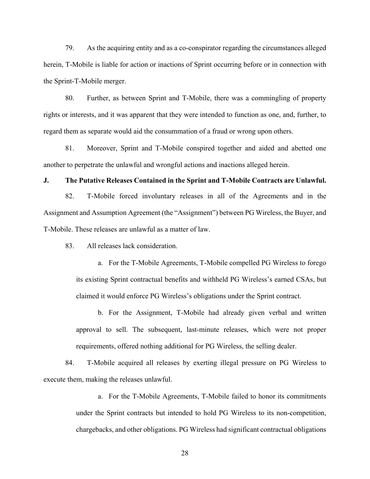79. As the acquiring entity and as a co-conspirator regarding the circumstances alleged herein, T-Mobile is liable for action or inactions of Sprint occurring before or in connection with the Sprint-T-Mobile merger.

80. Further, as between Sprint and T-Mobile, there was a commingling of property rights or interests, and it was apparent that they were intended to function as one, and, further, to regard them as separate would aid the consummation of a fraud or wrong upon others.

81. Moreover, Sprint and T-Mobile conspired together and aided and abetted one another to perpetrate the unlawful and wrongful actions and inactions alleged herein.

#### **J. The Putative Releases Contained in the Sprint and T-Mobile Contracts are Unlawful.**

82. T-Mobile forced involuntary releases in all of the Agreements and in the Assignment and Assumption Agreement (the "Assignment") between PG Wireless, the Buyer, and T-Mobile. These releases are unlawful as a matter of law.

83. All releases lack consideration.

a. For the T-Mobile Agreements, T-Mobile compelled PG Wireless to forego its existing Sprint contractual benefits and withheld PG Wireless's earned CSAs, but claimed it would enforce PG Wireless's obligations under the Sprint contract.

b. For the Assignment, T-Mobile had already given verbal and written approval to sell. The subsequent, last-minute releases, which were not proper requirements, offered nothing additional for PG Wireless, the selling dealer.

84. T-Mobile acquired all releases by exerting illegal pressure on PG Wireless to execute them, making the releases unlawful.

> a. For the T-Mobile Agreements, T-Mobile failed to honor its commitments under the Sprint contracts but intended to hold PG Wireless to its non-competition, chargebacks, and other obligations. PG Wireless had significant contractual obligations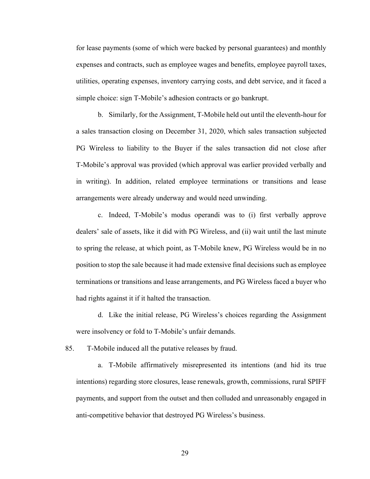for lease payments (some of which were backed by personal guarantees) and monthly expenses and contracts, such as employee wages and benefits, employee payroll taxes, utilities, operating expenses, inventory carrying costs, and debt service, and it faced a simple choice: sign T-Mobile's adhesion contracts or go bankrupt.

b. Similarly, for the Assignment, T-Mobile held out until the eleventh-hour for a sales transaction closing on December 31, 2020, which sales transaction subjected PG Wireless to liability to the Buyer if the sales transaction did not close after T-Mobile's approval was provided (which approval was earlier provided verbally and in writing). In addition, related employee terminations or transitions and lease arrangements were already underway and would need unwinding.

c. Indeed, T-Mobile's modus operandi was to (i) first verbally approve dealers' sale of assets, like it did with PG Wireless, and (ii) wait until the last minute to spring the release, at which point, as T-Mobile knew, PG Wireless would be in no position to stop the sale because it had made extensive final decisions such as employee terminations or transitions and lease arrangements, and PG Wireless faced a buyer who had rights against it if it halted the transaction.

d. Like the initial release, PG Wireless's choices regarding the Assignment were insolvency or fold to T-Mobile's unfair demands.

85. T-Mobile induced all the putative releases by fraud.

a. T-Mobile affirmatively misrepresented its intentions (and hid its true intentions) regarding store closures, lease renewals, growth, commissions, rural SPIFF payments, and support from the outset and then colluded and unreasonably engaged in anti-competitive behavior that destroyed PG Wireless's business.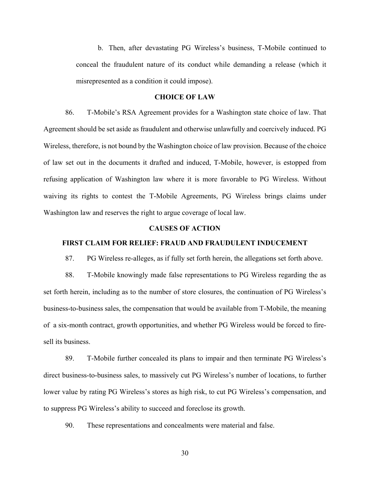b. Then, after devastating PG Wireless's business, T-Mobile continued to conceal the fraudulent nature of its conduct while demanding a release (which it misrepresented as a condition it could impose).

### **CHOICE OF LAW**

86. T-Mobile's RSA Agreement provides for a Washington state choice of law. That Agreement should be set aside as fraudulent and otherwise unlawfully and coercively induced. PG Wireless, therefore, is not bound by the Washington choice of law provision. Because of the choice of law set out in the documents it drafted and induced, T-Mobile, however, is estopped from refusing application of Washington law where it is more favorable to PG Wireless. Without waiving its rights to contest the T-Mobile Agreements, PG Wireless brings claims under Washington law and reserves the right to argue coverage of local law.

#### **CAUSES OF ACTION**

#### **FIRST CLAIM FOR RELIEF: FRAUD AND FRAUDULENT INDUCEMENT**

87. PG Wireless re-alleges, as if fully set forth herein, the allegations set forth above.

88. T-Mobile knowingly made false representations to PG Wireless regarding the as set forth herein, including as to the number of store closures, the continuation of PG Wireless's business-to-business sales, the compensation that would be available from T-Mobile, the meaning of a six-month contract, growth opportunities, and whether PG Wireless would be forced to firesell its business.

89. T-Mobile further concealed its plans to impair and then terminate PG Wireless's direct business-to-business sales, to massively cut PG Wireless's number of locations, to further lower value by rating PG Wireless's stores as high risk, to cut PG Wireless's compensation, and to suppress PG Wireless's ability to succeed and foreclose its growth.

90. These representations and concealments were material and false.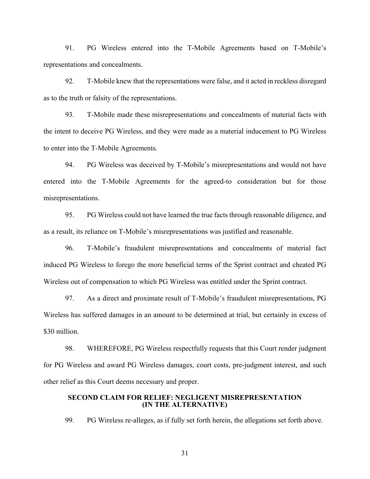91. PG Wireless entered into the T-Mobile Agreements based on T-Mobile's representations and concealments.

92. T-Mobile knew that the representations were false, and it acted in reckless disregard as to the truth or falsity of the representations.

93. T-Mobile made these misrepresentations and concealments of material facts with the intent to deceive PG Wireless, and they were made as a material inducement to PG Wireless to enter into the T-Mobile Agreements.

94. PG Wireless was deceived by T-Mobile's misrepresentations and would not have entered into the T-Mobile Agreements for the agreed-to consideration but for those misrepresentations.

95. PG Wireless could not have learned the true facts through reasonable diligence, and as a result, its reliance on T-Mobile's misrepresentations was justified and reasonable.

96. T-Mobile's fraudulent misrepresentations and concealments of material fact induced PG Wireless to forego the more beneficial terms of the Sprint contract and cheated PG Wireless out of compensation to which PG Wireless was entitled under the Sprint contract.

97. As a direct and proximate result of T-Mobile's fraudulent misrepresentations, PG Wireless has suffered damages in an amount to be determined at trial, but certainly in excess of \$30 million.

98. WHEREFORE, PG Wireless respectfully requests that this Court render judgment for PG Wireless and award PG Wireless damages, court costs, pre-judgment interest, and such other relief as this Court deems necessary and proper.

### **SECOND CLAIM FOR RELIEF: NEGLIGENT MISREPRESENTATION (IN THE ALTERNATIVE)**

99. PG Wireless re-alleges, as if fully set forth herein, the allegations set forth above.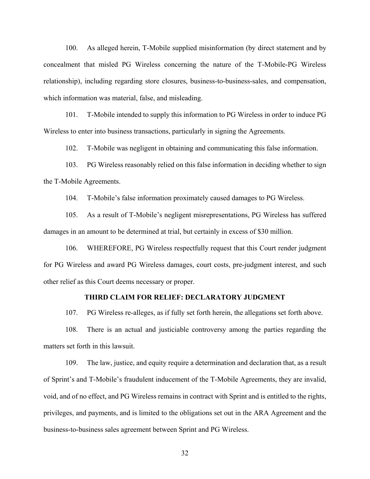100. As alleged herein, T-Mobile supplied misinformation (by direct statement and by concealment that misled PG Wireless concerning the nature of the T-Mobile-PG Wireless relationship), including regarding store closures, business-to-business-sales, and compensation, which information was material, false, and misleading.

101. T-Mobile intended to supply this information to PG Wireless in order to induce PG Wireless to enter into business transactions, particularly in signing the Agreements.

102. T-Mobile was negligent in obtaining and communicating this false information.

103. PG Wireless reasonably relied on this false information in deciding whether to sign the T-Mobile Agreements.

104. T-Mobile's false information proximately caused damages to PG Wireless.

105. As a result of T-Mobile's negligent misrepresentations, PG Wireless has suffered damages in an amount to be determined at trial, but certainly in excess of \$30 million.

106. WHEREFORE, PG Wireless respectfully request that this Court render judgment for PG Wireless and award PG Wireless damages, court costs, pre-judgment interest, and such other relief as this Court deems necessary or proper.

#### **THIRD CLAIM FOR RELIEF: DECLARATORY JUDGMENT**

107. PG Wireless re-alleges, as if fully set forth herein, the allegations set forth above.

108. There is an actual and justiciable controversy among the parties regarding the matters set forth in this lawsuit.

109. The law, justice, and equity require a determination and declaration that, as a result of Sprint's and T-Mobile's fraudulent inducement of the T-Mobile Agreements, they are invalid, void, and of no effect, and PG Wireless remains in contract with Sprint and is entitled to the rights, privileges, and payments, and is limited to the obligations set out in the ARA Agreement and the business-to-business sales agreement between Sprint and PG Wireless.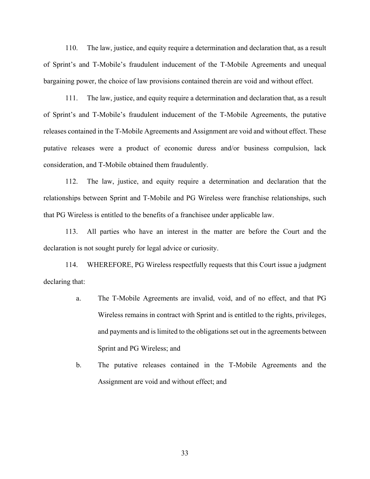110. The law, justice, and equity require a determination and declaration that, as a result of Sprint's and T-Mobile's fraudulent inducement of the T-Mobile Agreements and unequal bargaining power, the choice of law provisions contained therein are void and without effect.

111. The law, justice, and equity require a determination and declaration that, as a result of Sprint's and T-Mobile's fraudulent inducement of the T-Mobile Agreements, the putative releases contained in the T-Mobile Agreements and Assignment are void and without effect. These putative releases were a product of economic duress and/or business compulsion, lack consideration, and T-Mobile obtained them fraudulently.

112. The law, justice, and equity require a determination and declaration that the relationships between Sprint and T-Mobile and PG Wireless were franchise relationships, such that PG Wireless is entitled to the benefits of a franchisee under applicable law.

113. All parties who have an interest in the matter are before the Court and the declaration is not sought purely for legal advice or curiosity.

114. WHEREFORE, PG Wireless respectfully requests that this Court issue a judgment declaring that:

- a. The T-Mobile Agreements are invalid, void, and of no effect, and that PG Wireless remains in contract with Sprint and is entitled to the rights, privileges, and payments and is limited to the obligations set out in the agreements between Sprint and PG Wireless; and
- b. The putative releases contained in the T-Mobile Agreements and the Assignment are void and without effect; and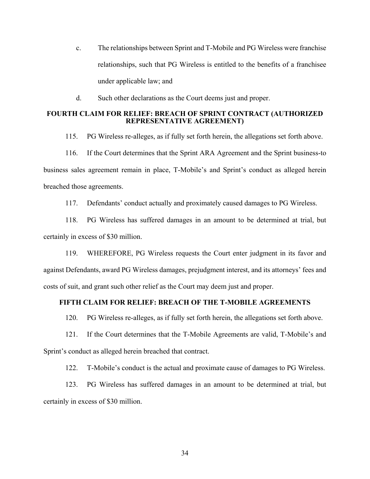- c. The relationships between Sprint and T-Mobile and PG Wireless were franchise relationships, such that PG Wireless is entitled to the benefits of a franchisee under applicable law; and
- d. Such other declarations as the Court deems just and proper.

# **FOURTH CLAIM FOR RELIEF: BREACH OF SPRINT CONTRACT (AUTHORIZED REPRESENTATIVE AGREEMENT)**

115. PG Wireless re-alleges, as if fully set forth herein, the allegations set forth above.

116. If the Court determines that the Sprint ARA Agreement and the Sprint business-to business sales agreement remain in place, T-Mobile's and Sprint's conduct as alleged herein breached those agreements.

117. Defendants' conduct actually and proximately caused damages to PG Wireless.

118. PG Wireless has suffered damages in an amount to be determined at trial, but certainly in excess of \$30 million.

119. WHEREFORE, PG Wireless requests the Court enter judgment in its favor and against Defendants, award PG Wireless damages, prejudgment interest, and its attorneys' fees and costs of suit, and grant such other relief as the Court may deem just and proper.

# **FIFTH CLAIM FOR RELIEF: BREACH OF THE T-MOBILE AGREEMENTS**

120. PG Wireless re-alleges, as if fully set forth herein, the allegations set forth above.

121. If the Court determines that the T-Mobile Agreements are valid, T-Mobile's and Sprint's conduct as alleged herein breached that contract.

122. T-Mobile's conduct is the actual and proximate cause of damages to PG Wireless.

123. PG Wireless has suffered damages in an amount to be determined at trial, but certainly in excess of \$30 million.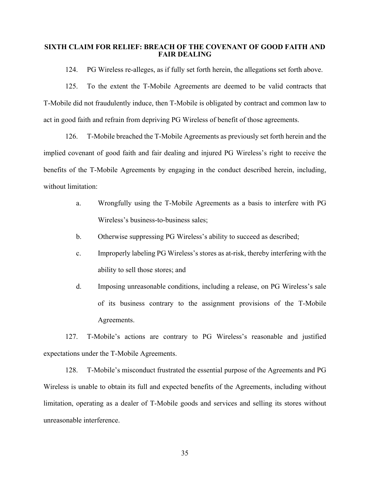## **SIXTH CLAIM FOR RELIEF: BREACH OF THE COVENANT OF GOOD FAITH AND FAIR DEALING**

124. PG Wireless re-alleges, as if fully set forth herein, the allegations set forth above.

125. To the extent the T-Mobile Agreements are deemed to be valid contracts that T-Mobile did not fraudulently induce, then T-Mobile is obligated by contract and common law to act in good faith and refrain from depriving PG Wireless of benefit of those agreements.

126. T-Mobile breached the T-Mobile Agreements as previously set forth herein and the implied covenant of good faith and fair dealing and injured PG Wireless's right to receive the benefits of the T-Mobile Agreements by engaging in the conduct described herein, including, without limitation:

- a. Wrongfully using the T-Mobile Agreements as a basis to interfere with PG Wireless's business-to-business sales;
- b. Otherwise suppressing PG Wireless's ability to succeed as described;
- c. Improperly labeling PG Wireless's stores as at-risk, thereby interfering with the ability to sell those stores; and
- d. Imposing unreasonable conditions, including a release, on PG Wireless's sale of its business contrary to the assignment provisions of the T-Mobile Agreements.

127. T-Mobile's actions are contrary to PG Wireless's reasonable and justified expectations under the T-Mobile Agreements.

128. T-Mobile's misconduct frustrated the essential purpose of the Agreements and PG Wireless is unable to obtain its full and expected benefits of the Agreements, including without limitation, operating as a dealer of T-Mobile goods and services and selling its stores without unreasonable interference.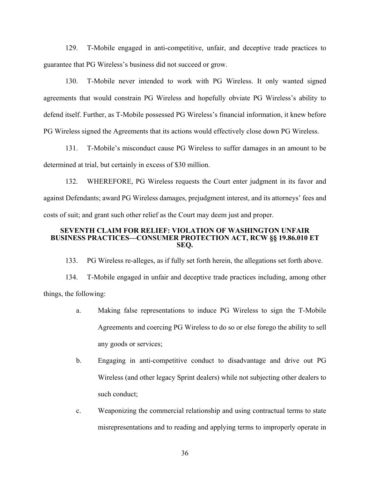129. T-Mobile engaged in anti-competitive, unfair, and deceptive trade practices to guarantee that PG Wireless's business did not succeed or grow.

130. T-Mobile never intended to work with PG Wireless. It only wanted signed agreements that would constrain PG Wireless and hopefully obviate PG Wireless's ability to defend itself. Further, as T-Mobile possessed PG Wireless's financial information, it knew before PG Wireless signed the Agreements that its actions would effectively close down PG Wireless.

131. T-Mobile's misconduct cause PG Wireless to suffer damages in an amount to be determined at trial, but certainly in excess of \$30 million.

132. WHEREFORE, PG Wireless requests the Court enter judgment in its favor and against Defendants; award PG Wireless damages, prejudgment interest, and its attorneys' fees and costs of suit; and grant such other relief as the Court may deem just and proper.

#### **SEVENTH CLAIM FOR RELIEF: VIOLATION OF WASHINGTON UNFAIR BUSINESS PRACTICES—CONSUMER PROTECTION ACT, RCW §§ 19.86.010 ET SEQ.**

133. PG Wireless re-alleges, as if fully set forth herein, the allegations set forth above.

134. T-Mobile engaged in unfair and deceptive trade practices including, among other things, the following:

- a. Making false representations to induce PG Wireless to sign the T-Mobile Agreements and coercing PG Wireless to do so or else forego the ability to sell any goods or services;
- b. Engaging in anti-competitive conduct to disadvantage and drive out PG Wireless (and other legacy Sprint dealers) while not subjecting other dealers to such conduct;
- c. Weaponizing the commercial relationship and using contractual terms to state misrepresentations and to reading and applying terms to improperly operate in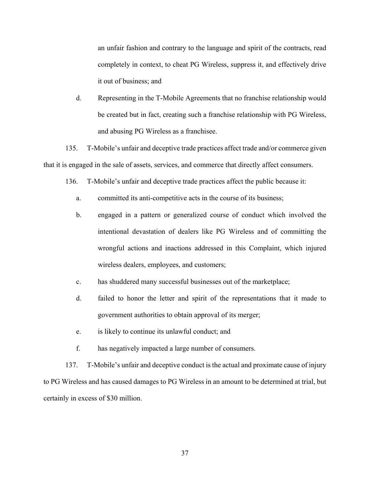an unfair fashion and contrary to the language and spirit of the contracts, read completely in context, to cheat PG Wireless, suppress it, and effectively drive it out of business; and

d. Representing in the T-Mobile Agreements that no franchise relationship would be created but in fact, creating such a franchise relationship with PG Wireless, and abusing PG Wireless as a franchisee.

135. T-Mobile's unfair and deceptive trade practices affect trade and/or commerce given that it is engaged in the sale of assets, services, and commerce that directly affect consumers.

- 136. T-Mobile's unfair and deceptive trade practices affect the public because it:
	- a. committed its anti-competitive acts in the course of its business;
	- b. engaged in a pattern or generalized course of conduct which involved the intentional devastation of dealers like PG Wireless and of committing the wrongful actions and inactions addressed in this Complaint, which injured wireless dealers, employees, and customers;
	- c. has shuddered many successful businesses out of the marketplace;
	- d. failed to honor the letter and spirit of the representations that it made to government authorities to obtain approval of its merger;
	- e. is likely to continue its unlawful conduct; and
	- f. has negatively impacted a large number of consumers.

137. T-Mobile's unfair and deceptive conduct is the actual and proximate cause of injury to PG Wireless and has caused damages to PG Wireless in an amount to be determined at trial, but certainly in excess of \$30 million.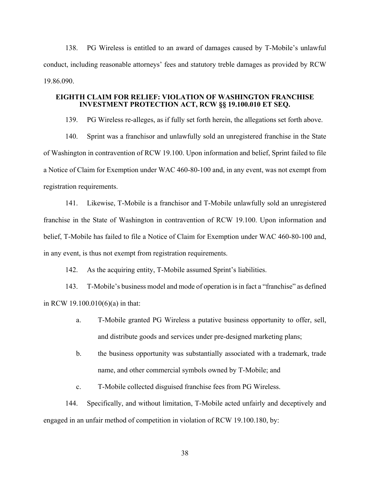138. PG Wireless is entitled to an award of damages caused by T-Mobile's unlawful conduct, including reasonable attorneys' fees and statutory treble damages as provided by RCW 19.86.090.

### **EIGHTH CLAIM FOR RELIEF: VIOLATION OF WASHINGTON FRANCHISE INVESTMENT PROTECTION ACT, RCW §§ 19.100.010 ET SEQ.**

139. PG Wireless re-alleges, as if fully set forth herein, the allegations set forth above.

140. Sprint was a franchisor and unlawfully sold an unregistered franchise in the State of Washington in contravention of RCW 19.100. Upon information and belief, Sprint failed to file a Notice of Claim for Exemption under WAC 460-80-100 and, in any event, was not exempt from registration requirements.

141. Likewise, T-Mobile is a franchisor and T-Mobile unlawfully sold an unregistered franchise in the State of Washington in contravention of RCW 19.100. Upon information and belief, T-Mobile has failed to file a Notice of Claim for Exemption under WAC 460-80-100 and, in any event, is thus not exempt from registration requirements.

142. As the acquiring entity, T-Mobile assumed Sprint's liabilities.

143. T-Mobile's business model and mode of operation is in fact a "franchise" as defined in RCW 19.100.010(6)(a) in that:

- a. T-Mobile granted PG Wireless a putative business opportunity to offer, sell, and distribute goods and services under pre-designed marketing plans;
- b. the business opportunity was substantially associated with a trademark, trade name, and other commercial symbols owned by T-Mobile; and
- c. T-Mobile collected disguised franchise fees from PG Wireless.

144. Specifically, and without limitation, T-Mobile acted unfairly and deceptively and engaged in an unfair method of competition in violation of RCW 19.100.180, by: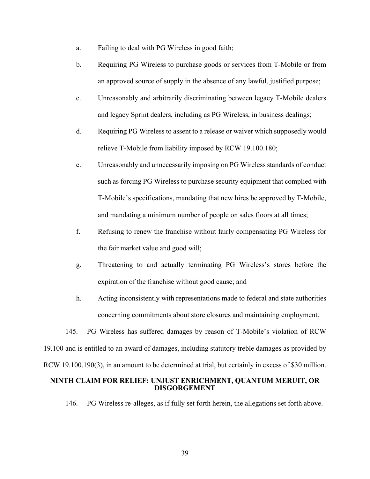- a. Failing to deal with PG Wireless in good faith;
- b. Requiring PG Wireless to purchase goods or services from T-Mobile or from an approved source of supply in the absence of any lawful, justified purpose;
- c. Unreasonably and arbitrarily discriminating between legacy T-Mobile dealers and legacy Sprint dealers, including as PG Wireless, in business dealings;
- d. Requiring PG Wireless to assent to a release or waiver which supposedly would relieve T-Mobile from liability imposed by RCW 19.100.180;
- e. Unreasonably and unnecessarily imposing on PG Wireless standards of conduct such as forcing PG Wireless to purchase security equipment that complied with T-Mobile's specifications, mandating that new hires be approved by T-Mobile, and mandating a minimum number of people on sales floors at all times;
- f. Refusing to renew the franchise without fairly compensating PG Wireless for the fair market value and good will;
- g. Threatening to and actually terminating PG Wireless's stores before the expiration of the franchise without good cause; and
- h. Acting inconsistently with representations made to federal and state authorities concerning commitments about store closures and maintaining employment.

145. PG Wireless has suffered damages by reason of T-Mobile's violation of RCW 19.100 and is entitled to an award of damages, including statutory treble damages as provided by RCW 19.100.190(3), in an amount to be determined at trial, but certainly in excess of \$30 million.

## **NINTH CLAIM FOR RELIEF: UNJUST ENRICHMENT, QUANTUM MERUIT, OR DISGORGEMENT**

146. PG Wireless re-alleges, as if fully set forth herein, the allegations set forth above.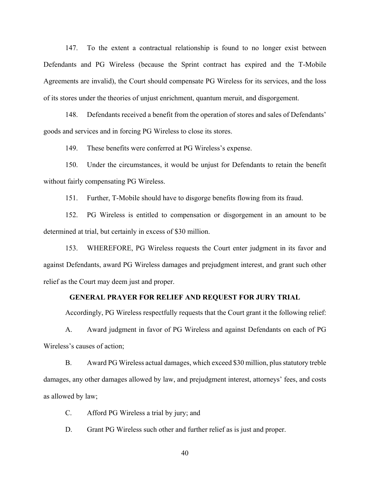147. To the extent a contractual relationship is found to no longer exist between Defendants and PG Wireless (because the Sprint contract has expired and the T-Mobile Agreements are invalid), the Court should compensate PG Wireless for its services, and the loss of its stores under the theories of unjust enrichment, quantum meruit, and disgorgement.

148. Defendants received a benefit from the operation of stores and sales of Defendants' goods and services and in forcing PG Wireless to close its stores.

149. These benefits were conferred at PG Wireless's expense.

150. Under the circumstances, it would be unjust for Defendants to retain the benefit without fairly compensating PG Wireless.

151. Further, T-Mobile should have to disgorge benefits flowing from its fraud.

152. PG Wireless is entitled to compensation or disgorgement in an amount to be determined at trial, but certainly in excess of \$30 million.

153. WHEREFORE, PG Wireless requests the Court enter judgment in its favor and against Defendants, award PG Wireless damages and prejudgment interest, and grant such other relief as the Court may deem just and proper.

#### **GENERAL PRAYER FOR RELIEF AND REQUEST FOR JURY TRIAL**

Accordingly, PG Wireless respectfully requests that the Court grant it the following relief:

A. Award judgment in favor of PG Wireless and against Defendants on each of PG Wireless's causes of action;

B. Award PG Wireless actual damages, which exceed \$30 million, plus statutory treble damages, any other damages allowed by law, and prejudgment interest, attorneys' fees, and costs as allowed by law;

C. Afford PG Wireless a trial by jury; and

D. Grant PG Wireless such other and further relief as is just and proper.